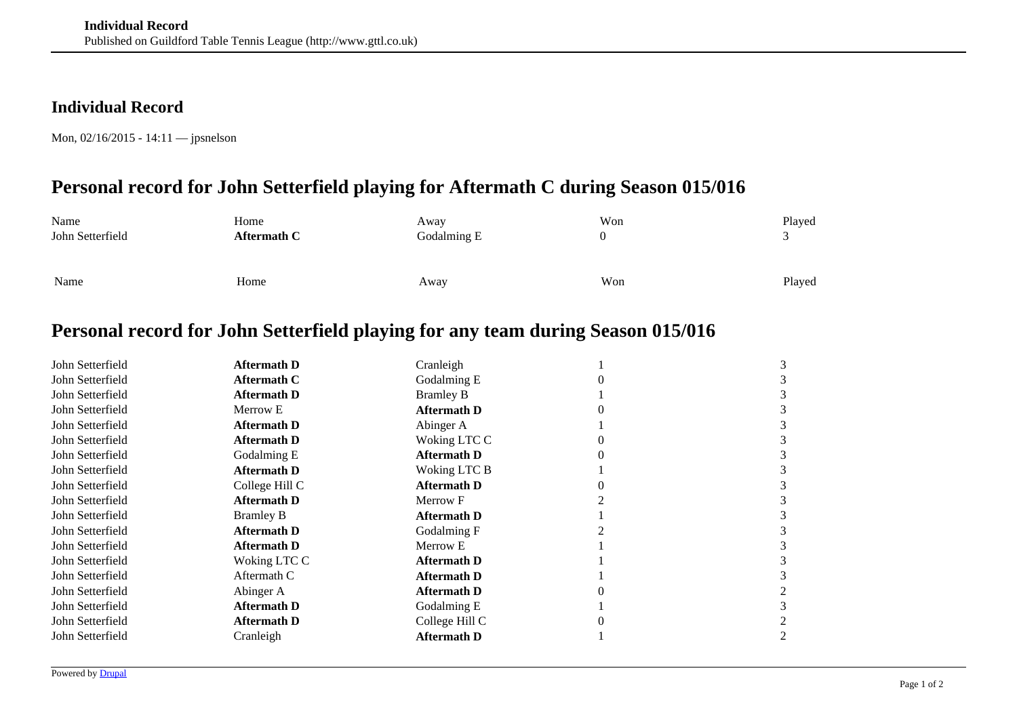## **Individual Record**

Mon, 02/16/2015 - 14:11 — jpsnelson

## **Personal record for John Setterfield playing for Aftermath C during Season 015/016**

| Name             | Home        | Away        | Won | Played |
|------------------|-------------|-------------|-----|--------|
| John Setterfield | Aftermath C | Godalming E |     |        |
|                  |             |             |     |        |
|                  |             |             |     |        |
| Name             | Home        | Away        | Won | Played |
|                  |             |             |     |        |

## **Personal record for John Setterfield playing for any team during Season 015/016**

| John Setterfield | <b>Aftermath D</b> | Cranleigh          |  |
|------------------|--------------------|--------------------|--|
| John Setterfield | <b>Aftermath C</b> | Godalming E        |  |
| John Setterfield | <b>Aftermath D</b> | <b>Bramley B</b>   |  |
| John Setterfield | Merrow E           | <b>Aftermath D</b> |  |
| John Setterfield | <b>Aftermath D</b> | Abinger A          |  |
| John Setterfield | <b>Aftermath D</b> | Woking LTC C       |  |
| John Setterfield | Godalming E        | <b>Aftermath D</b> |  |
| John Setterfield | <b>Aftermath D</b> | Woking LTC B       |  |
| John Setterfield | College Hill C     | <b>Aftermath D</b> |  |
| John Setterfield | <b>Aftermath D</b> | Merrow F           |  |
| John Setterfield | <b>Bramley B</b>   | <b>Aftermath D</b> |  |
| John Setterfield | <b>Aftermath D</b> | Godalming F        |  |
| John Setterfield | <b>Aftermath D</b> | Merrow E           |  |
| John Setterfield | Woking LTC C       | <b>Aftermath D</b> |  |
| John Setterfield | Aftermath C        | <b>Aftermath D</b> |  |
| John Setterfield | Abinger A          | <b>Aftermath D</b> |  |
| John Setterfield | <b>Aftermath D</b> | Godalming E        |  |
| John Setterfield | <b>Aftermath D</b> | College Hill C     |  |
| John Setterfield | Cranleigh          | <b>Aftermath D</b> |  |